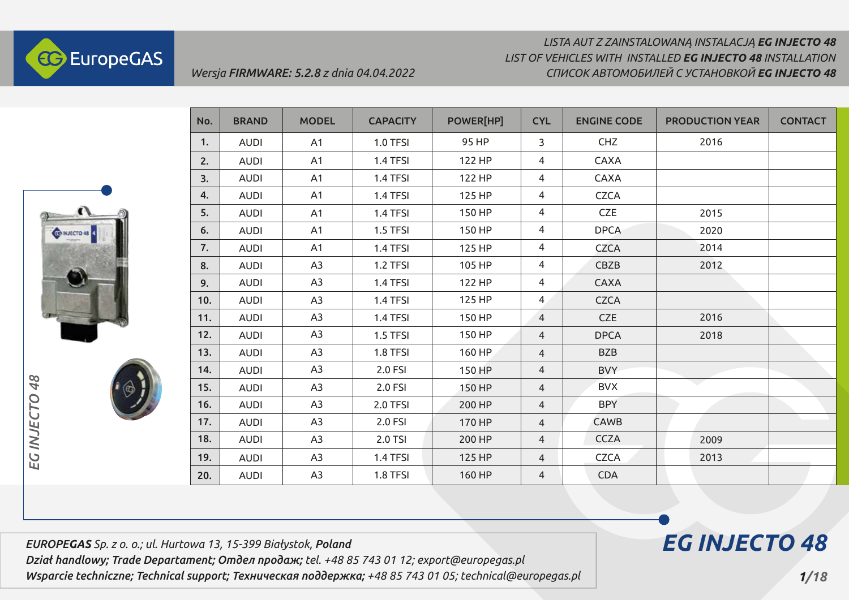

# *LISTA AUT Z ZAINSTALOWANĄ INSTALACJĄ EG INJECTO 48 СПИСОК АВТОМОБИЛЕЙ С УСТАНОВКОЙ EG INJECTO 48 LIST OF VEHICLES WITH INSTALLED EG INJECTO 48 INSTALLATION*



| No. | <b>BRAND</b> | <b>MODEL</b>   | <b>CAPACITY</b> | POWER[HP] | <b>CYL</b>     | <b>ENGINE CODE</b> | <b>PRODUCTION YEAR</b> | <b>CONTACT</b> |
|-----|--------------|----------------|-----------------|-----------|----------------|--------------------|------------------------|----------------|
| 1.  | <b>AUDI</b>  | A1             | <b>1.0 TFSI</b> | 95 HP     | 3              | <b>CHZ</b>         | 2016                   |                |
| 2.  | <b>AUDI</b>  | A1             | 1.4 TFSI        | 122 HP    | 4              | <b>CAXA</b>        |                        |                |
| 3.  | <b>AUDI</b>  | A1             | 1.4 TFSI        | 122 HP    | 4              | <b>CAXA</b>        |                        |                |
| 4.  | <b>AUDI</b>  | A1             | 1.4 TFSI        | 125 HP    | 4              | <b>CZCA</b>        |                        |                |
| 5.  | <b>AUDI</b>  | A1             | 1.4 TFSI        | 150 HP    | 4              | <b>CZE</b>         | 2015                   |                |
| 6.  | <b>AUDI</b>  | A1             | 1.5 TFSI        | 150 HP    | 4              | <b>DPCA</b>        | 2020                   |                |
| 7.  | <b>AUDI</b>  | A1             | 1.4 TFSI        | 125 HP    | 4              | <b>CZCA</b>        | 2014                   |                |
| 8.  | <b>AUDI</b>  | A3             | 1.2 TFSI        | 105 HP    | 4              | CBZB               | 2012                   |                |
| 9.  | <b>AUDI</b>  | A3             | 1.4 TFSI        | 122 HP    | 4              | <b>CAXA</b>        |                        |                |
| 10. | <b>AUDI</b>  | A3             | 1.4 TFSI        | 125 HP    | $\overline{4}$ | <b>CZCA</b>        |                        |                |
| 11. | <b>AUDI</b>  | A3             | 1.4 TFSI        | 150 HP    | $\overline{4}$ | <b>CZE</b>         | 2016                   |                |
| 12. | <b>AUDI</b>  | A3             | 1.5 TFSI        | 150 HP    | $\overline{4}$ | <b>DPCA</b>        | 2018                   |                |
| 13. | <b>AUDI</b>  | A3             | 1.8 TFSI        | 160 HP    | $\overline{4}$ | <b>BZB</b>         |                        |                |
| 14. | <b>AUDI</b>  | A <sub>3</sub> | 2.0 FSI         | 150 HP    | $\overline{4}$ | <b>BVY</b>         |                        |                |
| 15. | <b>AUDI</b>  | A <sub>3</sub> | 2.0 FSI         | 150 HP    | 4              | <b>BVX</b>         |                        |                |
| 16. | <b>AUDI</b>  | A <sub>3</sub> | 2.0 TFSI        | 200 HP    | $\overline{4}$ | <b>BPY</b>         |                        |                |
| 17. | <b>AUDI</b>  | A3             | 2.0 FSI         | 170 HP    | $\overline{4}$ | <b>CAWB</b>        |                        |                |
| 18. | <b>AUDI</b>  | A <sub>3</sub> | 2.0 TSI         | 200 HP    | $\overline{4}$ | <b>CCZA</b>        | 2009                   |                |
| 19. | <b>AUDI</b>  | A3             | 1.4 TFSI        | 125 HP    | $\overline{4}$ | <b>CZCA</b>        | 2013                   |                |
| 20. | <b>AUDI</b>  | A <sub>3</sub> | 1.8 TFSI        | 160 HP    | 4              | <b>CDA</b>         |                        |                |

*EUROPEGAS Sp. z o. o.; ul. Hurtowa 13, 15-399 Białystok, Poland*

*Dział handlowy; Trade Departament; Отдел продаж; tel. +48 85 743 01 12; export@europegas.pl Wsparcie techniczne; Technical support; Техническая поддержка; +48 85 743 01 05; technical@europegas.pl*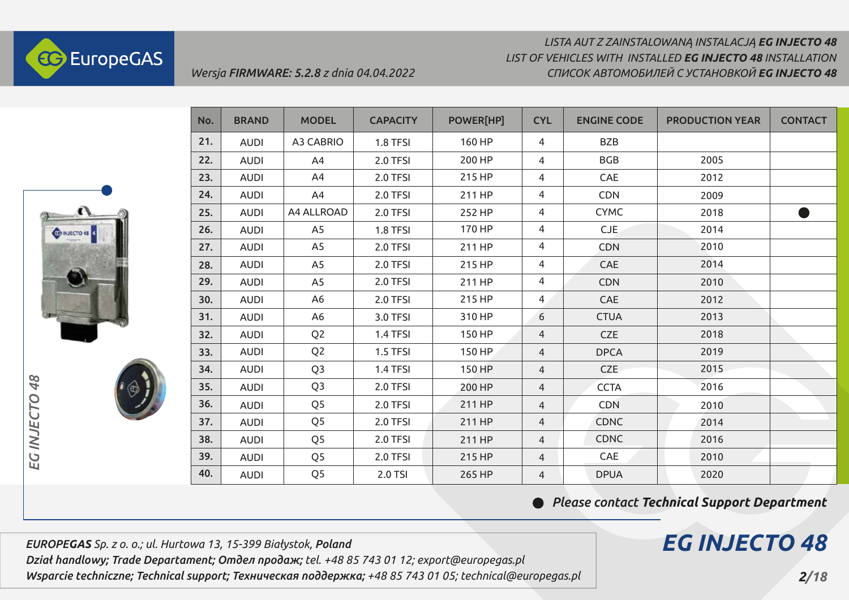



| No. | <b>BRAND</b> | <b>MODEL</b>     | <b>CAPACITY</b> | POWER[HP] | <b>CYL</b>     | <b>ENGINE CODE</b> | <b>PRODUCTION YEAR</b> | <b>CONTACT</b> |
|-----|--------------|------------------|-----------------|-----------|----------------|--------------------|------------------------|----------------|
| 21. | <b>AUDI</b>  | <b>A3 CABRIO</b> | 1.8 TFSI        | 160 HP    | 4              | <b>BZB</b>         |                        |                |
| 22. | <b>AUDI</b>  | A4               | 2.0 TFSI        | 200 HP    | 4              | <b>BGB</b>         | 2005                   |                |
| 23. | <b>AUDI</b>  | A4               | 2.0 TFSI        | 215 HP    | 4              | CAE                | 2012                   |                |
| 24. | <b>AUDI</b>  | A4               | 2.0 TFSI        | 211 HP    | 4              | <b>CDN</b>         | 2009                   |                |
| 25. | <b>AUDI</b>  | A4 ALLROAD       | 2.0 TFSI        | 252 HP    | 4              | <b>CYMC</b>        | 2018                   | $\bullet$      |
| 26. | <b>AUDI</b>  | A <sub>5</sub>   | 1.8 TFSI        | 170 HP    | 4              | CJE                | 2014                   |                |
| 27. | <b>AUDI</b>  | A <sub>5</sub>   | 2.0 TFSI        | 211 HP    | 4              | <b>CDN</b>         | 2010                   |                |
| 28. | <b>AUDI</b>  | A <sub>5</sub>   | 2.0 TFSI        | 215 HP    | 4              | CAE                | 2014                   |                |
| 29. | <b>AUDI</b>  | A <sub>5</sub>   | 2.0 TFSI        | 211 HP    | 4              | <b>CDN</b>         | 2010                   |                |
| 30. | <b>AUDI</b>  | A <sub>6</sub>   | 2.0 TFSI        | 215 HP    | 4              | <b>CAE</b>         | 2012                   |                |
| 31. | <b>AUDI</b>  | A6               | 3.0 TFSI        | 310 HP    | 6              | <b>CTUA</b>        | 2013                   |                |
| 32. | <b>AUDI</b>  | Q <sub>2</sub>   | 1.4 TFSI        | 150 HP    | $\overline{4}$ | <b>CZE</b>         | 2018                   |                |
| 33. | <b>AUDI</b>  | Q <sub>2</sub>   | 1.5 TFSI        | 150 HP    | 4              | <b>DPCA</b>        | 2019                   |                |
| 34. | <b>AUDI</b>  | Q <sub>3</sub>   | 1.4 TFSI        | 150 HP    | $\overline{4}$ | <b>CZE</b>         | 2015                   |                |
| 35. | <b>AUDI</b>  | Q <sub>3</sub>   | 2.0 TFSI        | 200 HP    | 4              | <b>CCTA</b>        | 2016                   |                |
| 36. | <b>AUDI</b>  | Q <sub>5</sub>   | 2.0 TFSI        | 211 HP    | 4              | <b>CDN</b>         | 2010                   |                |
| 37. | <b>AUDI</b>  | Q <sub>5</sub>   | 2.0 TFSI        | 211 HP    | $\overline{4}$ | <b>CDNC</b>        | 2014                   |                |
| 38. | <b>AUDI</b>  | Q <sub>5</sub>   | 2.0 TFSI        | 211 HP    | 4              | <b>CDNC</b>        | 2016                   |                |
| 39. | <b>AUDI</b>  | Q <sub>5</sub>   | 2.0 TFSI        | 215 HP    | $\overline{4}$ | CAE                | 2010                   |                |
| 40. | <b>AUDI</b>  | Q <sub>5</sub>   | 2.0 TSI         | 265 HP    | 4              | <b>DPUA</b>        | 2020                   |                |

 $\bullet$ 

*Please contact Techniсal Support Department*

*EG INJECTO 48*

*EUROPEGAS Sp. z o. o.; ul. Hurtowa 13, 15-399 Białystok, Poland Dział handlowy; Trade Departament; Отдел продаж; tel. +48 85 743 01 12; export@europegas.pl Wsparcie techniczne; Technical support; Техническая поддержка; +48 85 743 01 05; technical@europegas.pl* 

*Wersja FIRMWARE: 5.2.8 z dnia 04.04.2022*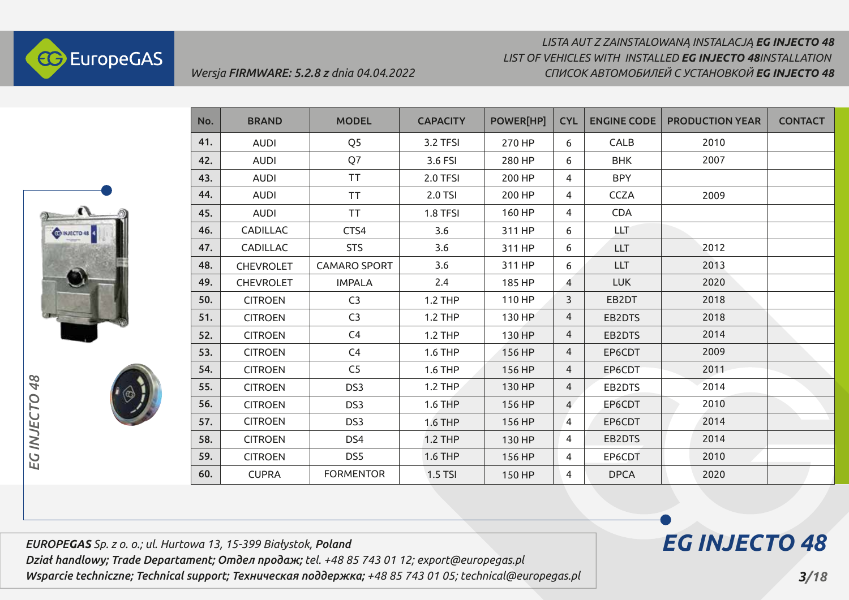



| No. | <b>BRAND</b>     | <b>MODEL</b>        | <b>CAPACITY</b> | POWER[HP] | <b>CYL</b>     | <b>ENGINE CODE</b> | <b>PRODUCTION YEAR</b> | <b>CONTACT</b> |
|-----|------------------|---------------------|-----------------|-----------|----------------|--------------------|------------------------|----------------|
| 41. | <b>AUDI</b>      | Q <sub>5</sub>      | 3.2 TFSI        | 270 HP    | 6              | CALB               | 2010                   |                |
| 42. | <b>AUDI</b>      | Q7                  | 3.6 FSI         | 280 HP    | 6              | <b>BHK</b>         | 2007                   |                |
| 43. | <b>AUDI</b>      | <b>TT</b>           | 2.0 TFSI        | 200 HP    | 4              | <b>BPY</b>         |                        |                |
| 44. | <b>AUDI</b>      | <b>TT</b>           | 2.0 TSI         | 200 HP    | 4              | <b>CCZA</b>        | 2009                   |                |
| 45. | <b>AUDI</b>      | <b>TT</b>           | 1.8 TFSI        | 160 HP    | 4              | <b>CDA</b>         |                        |                |
| 46. | CADILLAC         | CTS4                | 3.6             | 311 HP    | 6              | <b>LLT</b>         |                        |                |
| 47. | CADILLAC         | <b>STS</b>          | 3.6             | 311 HP    | 6              | <b>LLT</b>         | 2012                   |                |
| 48. | <b>CHEVROLET</b> | <b>CAMARO SPORT</b> | 3.6             | 311 HP    | 6              | <b>LLT</b>         | 2013                   |                |
| 49. | <b>CHEVROLET</b> | <b>IMPALA</b>       | 2.4             | 185 HP    | 4              | <b>LUK</b>         | 2020                   |                |
| 50. | <b>CITROEN</b>   | C <sub>3</sub>      | <b>1.2 THP</b>  | 110 HP    | 3              | EB2DT              | 2018                   |                |
| 51. | <b>CITROEN</b>   | C <sub>3</sub>      | <b>1.2 THP</b>  | 130 HP    | $\overline{4}$ | EB2DTS             | 2018                   |                |
| 52. | <b>CITROEN</b>   | C4                  | <b>1.2 THP</b>  | 130 HP    | $\overline{4}$ | EB2DTS             | 2014                   |                |
| 53. | <b>CITROEN</b>   | C4                  | <b>1.6 THP</b>  | 156 HP    | $\overline{4}$ | EP6CDT             | 2009                   |                |
| 54. | <b>CITROEN</b>   | C <sub>5</sub>      | 1.6 THP         | 156 HP    | 4              | EP6CDT             | 2011                   |                |
| 55. | <b>CITROEN</b>   | DS3                 | <b>1.2 THP</b>  | 130 HP    | 4              | EB2DTS             | 2014                   |                |
| 56. | <b>CITROEN</b>   | DS3                 | <b>1.6 THP</b>  | 156 HP    | $\overline{4}$ | EP6CDT             | 2010                   |                |
| 57. | <b>CITROEN</b>   | DS3                 | <b>1.6 THP</b>  | 156 HP    | 4              | EP6CDT             | 2014                   |                |
| 58. | <b>CITROEN</b>   | DS4                 | <b>1.2 THP</b>  | 130 HP    | 4              | EB2DTS             | 2014                   |                |
| 59. | <b>CITROEN</b>   | DS5                 | <b>1.6 THP</b>  | 156 HP    | 4              | EP6CDT             | 2010                   |                |
| 60. | <b>CUPRA</b>     | <b>FORMENTOR</b>    | 1.5 TSI         | 150 HP    | 4              | <b>DPCA</b>        | 2020                   |                |

*EUROPEGAS Sp. z o. o.; ul. Hurtowa 13, 15-399 Białystok, Poland Dział handlowy; Trade Departament; Отдел продаж; tel. +48 85 743 01 12; export@europegas.pl Wsparcie techniczne; Technical support; Техническая поддержка; +48 85 743 01 05; technical@europegas.pl* 

*Wersja FIRMWARE: 5.2.8 z dnia 04.04.2022*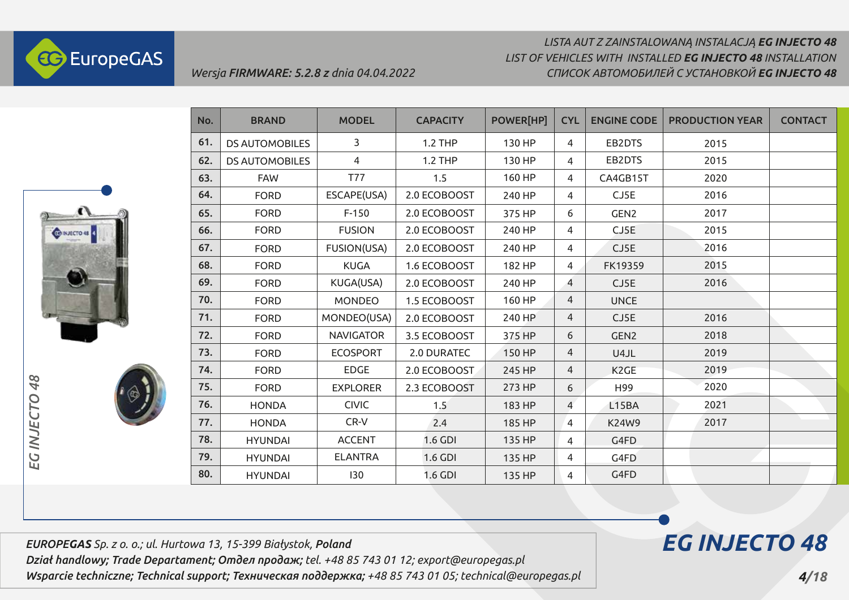

# *LISTA AUT Z ZAINSTALOWANĄ INSTALACJĄ EG INJECTO 48 СПИСОК АВТОМОБИЛЕЙ С УСТАНОВКОЙ EG INJECTO 48 LIST OF VEHICLES WITH INSTALLED EG INJECTO 48 INSTALLATION*



*EG INJECTO 48*

EG INJECTO

48

| No. | <b>BRAND</b>          | <b>MODEL</b>     | <b>CAPACITY</b> | POWER[HP] | <b>CYL</b>     | <b>ENGINE CODE</b> | <b>PRODUCTION YEAR</b> | <b>CONTACT</b> |
|-----|-----------------------|------------------|-----------------|-----------|----------------|--------------------|------------------------|----------------|
| 61. | <b>DS AUTOMOBILES</b> | 3                | <b>1.2 THP</b>  | 130 HP    | 4              | EB2DTS             | 2015                   |                |
| 62. | <b>DS AUTOMOBILES</b> | 4                | <b>1.2 THP</b>  | 130 HP    | 4              | EB2DTS             | 2015                   |                |
| 63. | <b>FAW</b>            | <b>T77</b>       | 1.5             | 160 HP    | 4              | CA4GB15T           | 2020                   |                |
| 64. | <b>FORD</b>           | ESCAPE(USA)      | 2.0 ECOBOOST    | 240 HP    | 4              | CJ5E               | 2016                   |                |
| 65. | <b>FORD</b>           | $F-150$          | 2.0 ECOBOOST    | 375 HP    | 6              | GEN <sub>2</sub>   | 2017                   |                |
| 66. | <b>FORD</b>           | <b>FUSION</b>    | 2.0 ECOBOOST    | 240 HP    | 4              | CJ5E               | 2015                   |                |
| 67. | <b>FORD</b>           | FUSION(USA)      | 2.0 ECOBOOST    | 240 HP    | 4              | CJ5E               | 2016                   |                |
| 68. | <b>FORD</b>           | <b>KUGA</b>      | 1.6 ECOBOOST    | 182 HP    | 4              | FK19359            | 2015                   |                |
| 69. | <b>FORD</b>           | KUGA(USA)        | 2.0 ECOBOOST    | 240 HP    | 4              | CJ5E               | 2016                   |                |
| 70. | <b>FORD</b>           | <b>MONDEO</b>    | 1.5 ECOBOOST    | 160 HP    | 4              | <b>UNCE</b>        |                        |                |
| 71. | <b>FORD</b>           | MONDEO(USA)      | 2.0 ECOBOOST    | 240 HP    | 4              | CJ5E               | 2016                   |                |
| 72. | <b>FORD</b>           | <b>NAVIGATOR</b> | 3.5 ECOBOOST    | 375 HP    | 6              | GEN <sub>2</sub>   | 2018                   |                |
| 73. | <b>FORD</b>           | <b>ECOSPORT</b>  | 2.0 DURATEC     | 150 HP    | 4              | U4JL               | 2019                   |                |
| 74. | <b>FORD</b>           | <b>EDGE</b>      | 2.0 ECOBOOST    | 245 HP    | 4              | K <sub>2</sub> GE  | 2019                   |                |
| 75. | <b>FORD</b>           | <b>EXPLORER</b>  | 2.3 ECOBOOST    | 273 HP    | 6              | H99                | 2020                   |                |
| 76. | <b>HONDA</b>          | <b>CIVIC</b>     | 1.5             | 183 HP    | $\overline{4}$ | L15BA              | 2021                   |                |
| 77. | <b>HONDA</b>          | CR-V             | 2.4             | 185 HP    | 4              | <b>K24W9</b>       | 2017                   |                |
| 78. | <b>HYUNDAI</b>        | <b>ACCENT</b>    | 1.6 GDI         | 135 HP    | 4              | G4FD               |                        |                |
| 79. | <b>HYUNDAI</b>        | <b>ELANTRA</b>   | 1.6 GDI         | 135 HP    | 4              | G4FD               |                        |                |
| 80. | <b>HYUNDAI</b>        | 130              | 1.6 GDI         | 135 HP    | 4              | G4FD               |                        |                |

*EUROPEGAS Sp. z o. o.; ul. Hurtowa 13, 15-399 Białystok, Poland Dział handlowy; Trade Departament; Отдел продаж; tel. +48 85 743 01 12; export@europegas.pl* 

*Wsparcie techniczne; Technical support; Техническая поддержка; +48 85 743 01 05; technical@europegas.pl*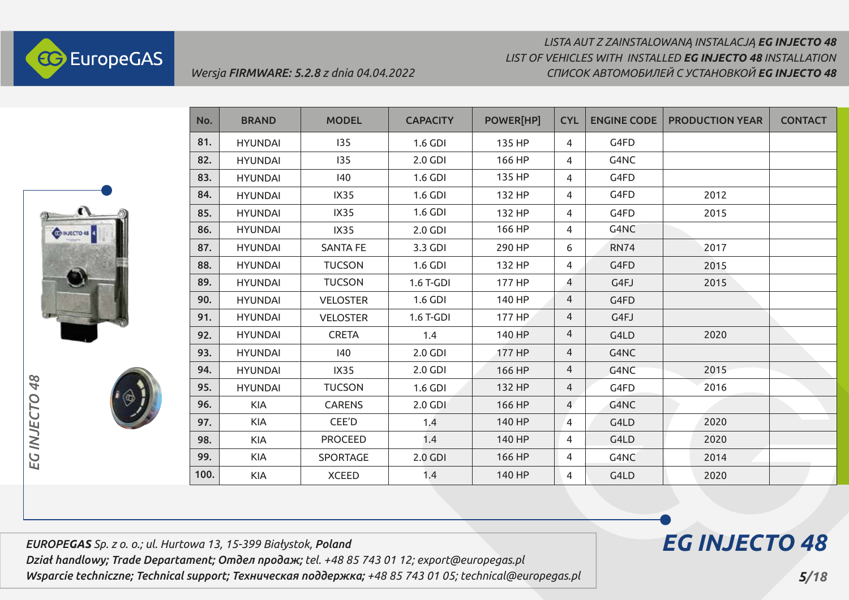



| No.  | <b>BRAND</b>   | <b>MODEL</b>    | <b>CAPACITY</b> | <b>POWER[HP]</b> | <b>CYL</b>     | <b>ENGINE CODE</b> | <b>PRODUCTION YEAR</b> | <b>CONTACT</b> |
|------|----------------|-----------------|-----------------|------------------|----------------|--------------------|------------------------|----------------|
| 81.  | <b>HYUNDAI</b> | 135             | 1.6 GDI         | 135 HP           | 4              | G4FD               |                        |                |
| 82.  | <b>HYUNDAI</b> | 135             | 2.0 GDI         | 166 HP           | 4              | G4NC               |                        |                |
| 83.  | <b>HYUNDAI</b> | 140             | 1.6 GDI         | 135 HP           | 4              | G4FD               |                        |                |
| 84.  | <b>HYUNDAI</b> | <b>IX35</b>     | 1.6 GDI         | 132 HP           | 4              | G4FD               | 2012                   |                |
| 85.  | <b>HYUNDAI</b> | IX35            | 1.6 GDI         | 132 HP           | 4              | G4FD               | 2015                   |                |
| 86.  | <b>HYUNDAI</b> | IX35            | 2.0 GDI         | 166 HP           | 4              | G4NC               |                        |                |
| 87.  | <b>HYUNDAI</b> | <b>SANTA FE</b> | 3.3 GDI         | 290 HP           | 6              | <b>RN74</b>        | 2017                   |                |
| 88.  | <b>HYUNDAI</b> | <b>TUCSON</b>   | 1.6 GDI         | 132 HP           | 4              | G4FD               | 2015                   |                |
| 89.  | <b>HYUNDAI</b> | <b>TUCSON</b>   | 1.6 T-GDI       | 177 HP           | $\overline{4}$ | G4FJ               | 2015                   |                |
| 90.  | <b>HYUNDAI</b> | <b>VELOSTER</b> | 1.6 GDI         | 140 HP           | $\overline{4}$ | G4FD               |                        |                |
| 91.  | <b>HYUNDAI</b> | <b>VELOSTER</b> | 1.6 T-GDI       | 177 HP           | 4              | G4FJ               |                        |                |
| 92.  | <b>HYUNDAI</b> | <b>CRETA</b>    | 1.4             | 140 HP           | 4              | G4LD               | 2020                   |                |
| 93.  | <b>HYUNDAI</b> | 140             | 2.0 GDI         | 177 HP           | $\overline{4}$ | G4NC               |                        |                |
| 94.  | <b>HYUNDAI</b> | IX35            | 2.0 GDI         | 166 HP           | 4              | G4NC               | 2015                   |                |
| 95.  | <b>HYUNDAI</b> | <b>TUCSON</b>   | 1.6 GDI         | 132 HP           | $\overline{4}$ | G4FD               | 2016                   |                |
| 96.  | <b>KIA</b>     | <b>CARENS</b>   | 2.0 GDI         | 166 HP           | $\overline{4}$ | G4NC               |                        |                |
| 97.  | KIA            | CEE'D           | 1.4             | 140 HP           | $\overline{4}$ | G4LD               | 2020                   |                |
| 98.  | <b>KIA</b>     | <b>PROCEED</b>  | 1.4             | 140 HP           | 4              | G4LD               | 2020                   |                |
| 99.  | KIA            | SPORTAGE        | 2.0 GDI         | 166 HP           | 4              | G4NC               | 2014                   |                |
| 100. | <b>KIA</b>     | <b>XCEED</b>    | 1.4             | 140 HP           | 4              | G4LD               | 2020                   |                |

*EUROPEGAS Sp. z o. o.; ul. Hurtowa 13, 15-399 Białystok, Poland Dział handlowy; Trade Departament; Отдел продаж; tel. +48 85 743 01 12; export@europegas.pl Wsparcie techniczne; Technical support; Техническая поддержка; +48 85 743 01 05; technical@europegas.pl* 

*Wersja FIRMWARE: 5.2.8 z dnia 04.04.2022*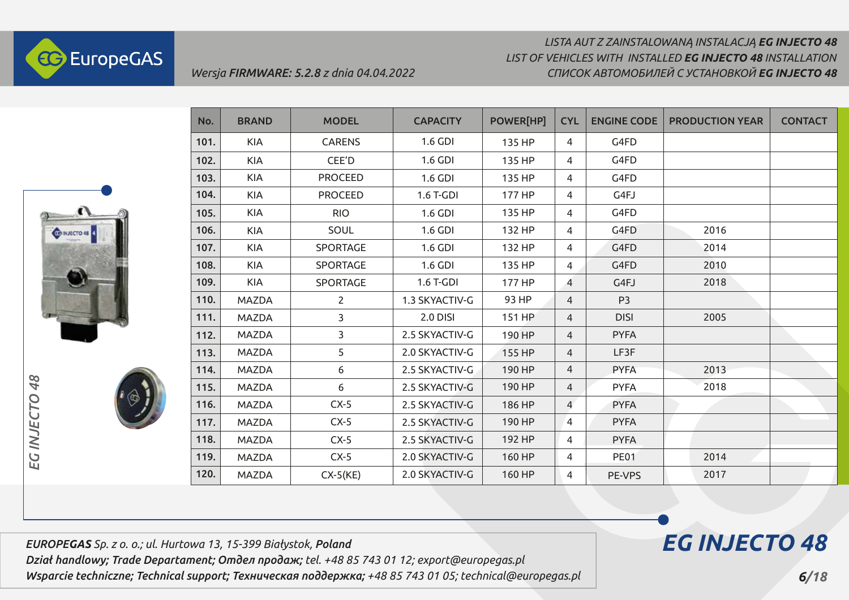



| No.  | <b>BRAND</b> | <b>MODEL</b>    | <b>CAPACITY</b> | <b>POWER[HP]</b> | <b>CYL</b>     | <b>ENGINE CODE</b> | <b>PRODUCTION YEAR</b> | <b>CONTACT</b> |
|------|--------------|-----------------|-----------------|------------------|----------------|--------------------|------------------------|----------------|
| 101. | <b>KIA</b>   | <b>CARENS</b>   | 1.6 GDI         | 135 HP           | 4              | G4FD               |                        |                |
| 102. | <b>KIA</b>   | CEE'D           | 1.6 GDI         | 135 HP           | 4              | G4FD               |                        |                |
| 103. | <b>KIA</b>   | <b>PROCEED</b>  | 1.6 GDI         | 135 HP           | 4              | G4FD               |                        |                |
| 104. | <b>KIA</b>   | <b>PROCEED</b>  | 1.6 T-GDI       | 177 HP           | 4              | G4FJ               |                        |                |
| 105. | <b>KIA</b>   | <b>RIO</b>      | 1.6 GDI         | 135 HP           | 4              | G4FD               |                        |                |
| 106. | <b>KIA</b>   | SOUL            | 1.6 GDI         | 132 HP           | 4              | G4FD               | 2016                   |                |
| 107. | <b>KIA</b>   | SPORTAGE        | 1.6 GDI         | 132 HP           | 4              | G4FD               | 2014                   |                |
| 108. | <b>KIA</b>   | SPORTAGE        | 1.6 GDI         | 135 HP           | 4              | G4FD               | 2010                   |                |
| 109. | <b>KIA</b>   | <b>SPORTAGE</b> | 1.6 T-GDI       | 177 HP           | 4              | G4FJ               | 2018                   |                |
| 110. | <b>MAZDA</b> | $\overline{2}$  | 1.3 SKYACTIV-G  | 93 HP            | 4              | P <sub>3</sub>     |                        |                |
| 111. | <b>MAZDA</b> | 3               | <b>2.0 DISI</b> | 151 HP           | 4              | <b>DISI</b>        | 2005                   |                |
| 112. | <b>MAZDA</b> | 3               | 2.5 SKYACTIV-G  | 190 HP           | 4              | <b>PYFA</b>        |                        |                |
| 113. | <b>MAZDA</b> | 5               | 2.0 SKYACTIV-G  | 155 HP           | 4              | LF3F               |                        |                |
| 114. | <b>MAZDA</b> | 6               | 2.5 SKYACTIV-G  | 190 HP           | 4              | <b>PYFA</b>        | 2013                   |                |
| 115. | MAZDA        | 6               | 2.5 SKYACTIV-G  | 190 HP           | 4              | <b>PYFA</b>        | 2018                   |                |
| 116. | MAZDA        | $CX-5$          | 2.5 SKYACTIV-G  | 186 HP           | $\overline{4}$ | <b>PYFA</b>        |                        |                |
| 117. | MAZDA        | $CX-5$          | 2.5 SKYACTIV-G  | 190 HP           | 4              | <b>PYFA</b>        |                        |                |
| 118. | <b>MAZDA</b> | $CX-5$          | 2.5 SKYACTIV-G  | 192 HP           | 4              | <b>PYFA</b>        |                        |                |
| 119. | <b>MAZDA</b> | $CX-5$          | 2.0 SKYACTIV-G  | 160 HP           | 4              | <b>PE01</b>        | 2014                   |                |
| 120. | <b>MAZDA</b> | $CX-5(KE)$      | 2.0 SKYACTIV-G  | 160 HP           | 4              | PE-VPS             | 2017                   |                |

*EUROPEGAS Sp. z o. o.; ul. Hurtowa 13, 15-399 Białystok, Poland Dział handlowy; Trade Departament; Отдел продаж; tel. +48 85 743 01 12; export@europegas.pl Wsparcie techniczne; Technical support; Техническая поддержка; +48 85 743 01 05; technical@europegas.pl* 

*Wersja FIRMWARE: 5.2.8 z dnia 04.04.2022*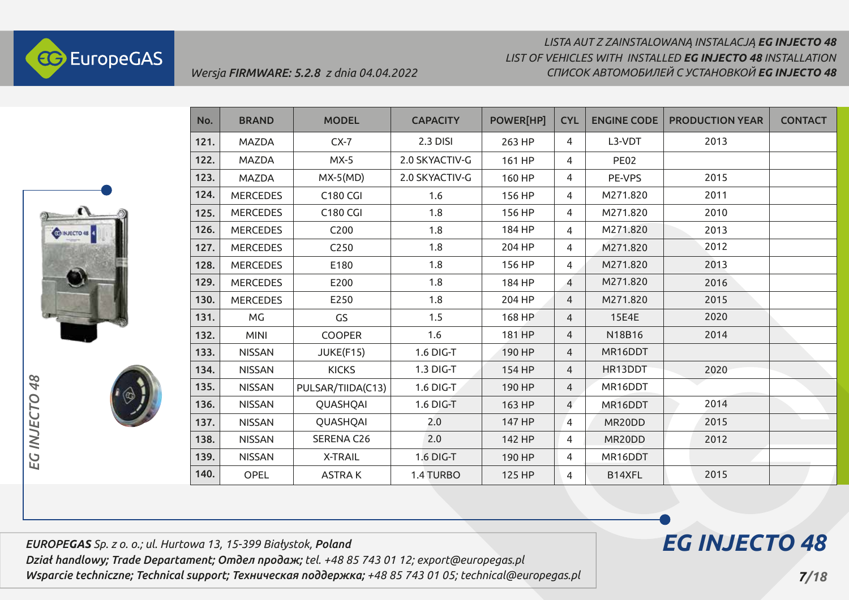

### *LISTA AUT Z ZAINSTALOWANĄ INSTALACJĄ EG INJECTO 48 СПИСОК АВТОМОБИЛЕЙ С УСТАНОВКОЙ EG INJECTO 48 LIST OF VEHICLES WITH INSTALLED EG INJECTO 48 INSTALLATION*



| No.  | <b>BRAND</b>    | <b>MODEL</b>      | <b>CAPACITY</b> | POWER[HP] | <b>CYL</b> | <b>ENGINE CODE</b> | <b>PRODUCTION YEAR</b> | <b>CONTACT</b> |
|------|-----------------|-------------------|-----------------|-----------|------------|--------------------|------------------------|----------------|
| 121. | <b>MAZDA</b>    | $CX-7$            | 2.3 DISI        | 263 HP    | 4          | L3-VDT             | 2013                   |                |
| 122. | <b>MAZDA</b>    | $MX-5$            | 2.0 SKYACTIV-G  | 161 HP    | 4          | <b>PE02</b>        |                        |                |
| 123. | <b>MAZDA</b>    | $MX-5(MD)$        | 2.0 SKYACTIV-G  | 160 HP    | 4          | PE-VPS             | 2015                   |                |
| 124. | <b>MERCEDES</b> | <b>C180 CGI</b>   | 1.6             | 156 HP    | 4          | M271.820           | 2011                   |                |
| 125. | <b>MERCEDES</b> | <b>C180 CGI</b>   | 1.8             | 156 HP    | 4          | M271.820           | 2010                   |                |
| 126. | <b>MERCEDES</b> | C200              | 1.8             | 184 HP    | 4          | M271.820           | 2013                   |                |
| 127. | <b>MERCEDES</b> | C250              | 1.8             | 204 HP    | 4          | M271.820           | 2012                   |                |
| 128. | <b>MERCEDES</b> | E180              | 1.8             | 156 HP    | 4          | M271.820           | 2013                   |                |
| 129. | <b>MERCEDES</b> | E200              | 1.8             | 184 HP    | 4          | M271.820           | 2016                   |                |
| 130. | <b>MERCEDES</b> | E250              | 1.8             | 204 HP    | 4          | M271.820           | 2015                   |                |
| 131. | <b>MG</b>       | GS                | 1.5             | 168 HP    | 4          | <b>15E4E</b>       | 2020                   |                |
| 132. | <b>MINI</b>     | <b>COOPER</b>     | 1.6             | 181 HP    | 4          | N18B16             | 2014                   |                |
| 133. | <b>NISSAN</b>   | JUKE(F15)         | 1.6 DIG-T       | 190 HP    | 4          | MR16DDT            |                        |                |
| 134. | <b>NISSAN</b>   | <b>KICKS</b>      | 1.3 DIG-T       | 154 HP    | 4          | HR13DDT            | 2020                   |                |
| 135. | <b>NISSAN</b>   | PULSAR/TIIDA(C13) | 1.6 DIG-T       | 190 HP    | 4          | MR16DDT            |                        |                |
| 136. | <b>NISSAN</b>   | QUASHQAI          | 1.6 DIG-T       | 163 HP    | 4          | MR16DDT            | 2014                   |                |
| 137. | <b>NISSAN</b>   | QUASHQAI          | 2.0             | 147 HP    | 4          | MR20DD             | 2015                   |                |
| 138. | <b>NISSAN</b>   | SERENA C26        | 2.0             | 142 HP    | 4          | MR20DD             | 2012                   |                |
| 139. | <b>NISSAN</b>   | <b>X-TRAIL</b>    | 1.6 DIG-T       | 190 HP    | 4          | MR16DDT            |                        |                |
| 140. | OPEL            | <b>ASTRAK</b>     | 1.4 TURBO       | 125 HP    | 4          | B14XFL             | 2015                   |                |

*EUROPEGAS Sp. z o. o.; ul. Hurtowa 13, 15-399 Białystok, Poland Dział handlowy; Trade Departament; Отдел продаж; tel. +48 85 743 01 12; export@europegas.pl Wsparcie techniczne; Technical support; Техническая поддержка; +48 85 743 01 05; technical@europegas.pl*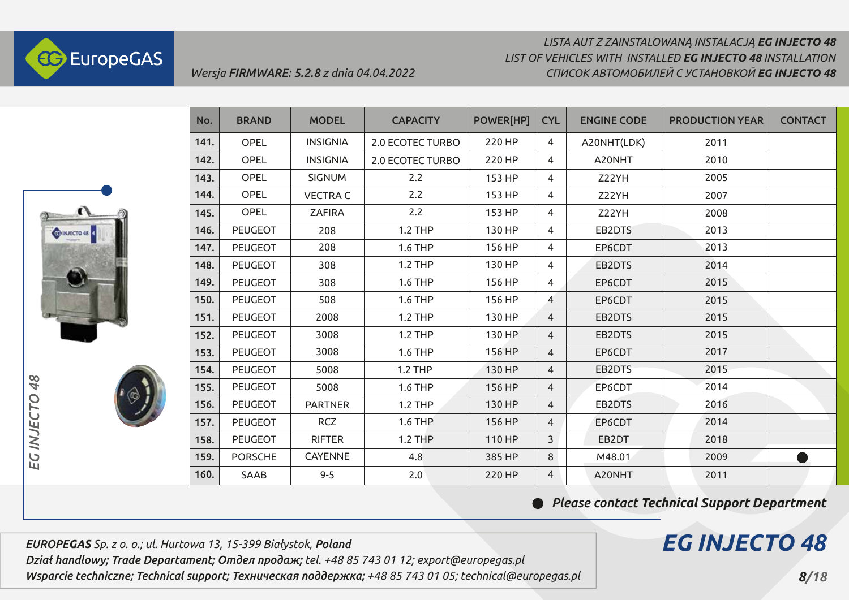

# *LISTA AUT Z ZAINSTALOWANĄ INSTALACJĄ EG INJECTO 48 СПИСОК АВТОМОБИЛЕЙ С УСТАНОВКОЙ EG INJECTO 48 LIST OF VEHICLES WITH INSTALLED EG INJECTO 48 INSTALLATION*



| No.  | <b>BRAND</b>   | <b>MODEL</b>    | <b>CAPACITY</b>         | <b>POWER[HP]</b> | <b>CYL</b>     | <b>ENGINE CODE</b> | <b>PRODUCTION YEAR</b> | <b>CONTACT</b> |
|------|----------------|-----------------|-------------------------|------------------|----------------|--------------------|------------------------|----------------|
| 141. | OPEL           | <b>INSIGNIA</b> | 2.0 ECOTEC TURBO        | 220 HP           | 4              | A20NHT(LDK)        | 2011                   |                |
| 142. | <b>OPEL</b>    | <b>INSIGNIA</b> | <b>2.0 ECOTEC TURBO</b> | 220 HP           | 4              | A20NHT             | 2010                   |                |
| 143. | OPEL           | <b>SIGNUM</b>   | 2.2                     | 153 HP           | 4              | Z22YH              | 2005                   |                |
| 144. | OPEL           | <b>VECTRA C</b> | 2.2                     | 153 HP           | 4              | Z22YH              | 2007                   |                |
| 145. | OPEL           | <b>ZAFIRA</b>   | 2.2                     | 153 HP           | 4              | Z22YH              | 2008                   |                |
| 146. | <b>PEUGEOT</b> | 208             | <b>1.2 THP</b>          | 130 HP           | 4              | EB2DTS             | 2013                   |                |
| 147. | <b>PEUGEOT</b> | 208             | <b>1.6 THP</b>          | 156 HP           | 4              | EP6CDT             | 2013                   |                |
| 148. | <b>PEUGEOT</b> | 308             | <b>1.2 THP</b>          | 130 HP           | 4              | EB2DTS             | 2014                   |                |
| 149. | <b>PEUGEOT</b> | 308             | <b>1.6 THP</b>          | 156 HP           | 4              | EP6CDT             | 2015                   |                |
| 150. | <b>PEUGEOT</b> | 508             | <b>1.6 THP</b>          | 156 HP           | $\overline{4}$ | EP6CDT             | 2015                   |                |
| 151. | <b>PEUGEOT</b> | 2008            | <b>1.2 THP</b>          | 130 HP           | 4              | EB2DTS             | 2015                   |                |
| 152. | <b>PEUGEOT</b> | 3008            | <b>1.2 THP</b>          | 130 HP           | $\overline{4}$ | EB2DTS             | 2015                   |                |
| 153. | <b>PEUGEOT</b> | 3008            | <b>1.6 THP</b>          | 156 HP           | $\overline{4}$ | EP6CDT             | 2017                   |                |
| 154. | <b>PEUGEOT</b> | 5008            | <b>1.2 THP</b>          | 130 HP           | 4              | EB2DTS             | 2015                   |                |
| 155. | <b>PEUGEOT</b> | 5008            | 1.6 THP                 | 156 HP           | $\overline{4}$ | EP6CDT             | 2014                   |                |
| 156. | <b>PEUGEOT</b> | <b>PARTNER</b>  | <b>1.2 THP</b>          | 130 HP           | 4              | EB2DTS             | 2016                   |                |
| 157. | <b>PEUGEOT</b> | <b>RCZ</b>      | <b>1.6 THP</b>          | 156 HP           | $\overline{4}$ | EP6CDT             | 2014                   |                |
| 158. | <b>PEUGEOT</b> | <b>RIFTER</b>   | <b>1.2 THP</b>          | 110 HP           | 3              | EB2DT              | 2018                   |                |
| 159. | <b>PORSCHE</b> | <b>CAYENNE</b>  | 4.8                     | 385 HP           | 8              | M48.01             | 2009                   |                |
| 160. | <b>SAAB</b>    | $9 - 5$         | 2.0                     | 220 HP           | 4              | A20NHT             | 2011                   |                |

*Please contact Techniсal Support Department*

# *EG INJECTO 48*

*EUROPEGAS Sp. z o. o.; ul. Hurtowa 13, 15-399 Białystok, Poland Dział handlowy; Trade Departament; Отдел продаж; tel. +48 85 743 01 12; export@europegas.pl Wsparcie techniczne; Technical support; Техническая поддержка; +48 85 743 01 05; technical@europegas.pl*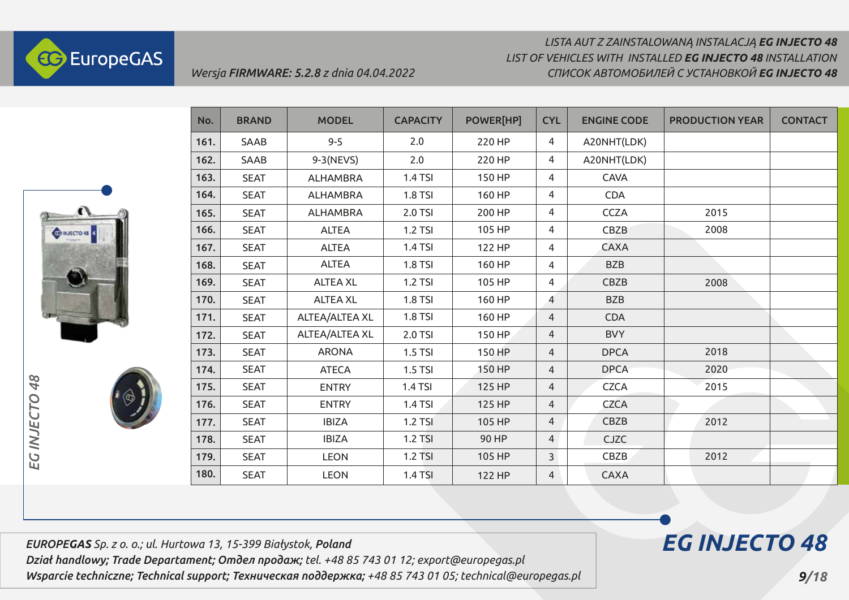



| No.  | <b>BRAND</b> | <b>MODEL</b>    | <b>CAPACITY</b> | POWER[HP] | <b>CYL</b>     | <b>ENGINE CODE</b> | <b>PRODUCTION YEAR</b> | <b>CONTACT</b> |
|------|--------------|-----------------|-----------------|-----------|----------------|--------------------|------------------------|----------------|
| 161. | SAAB         | $9 - 5$         | 2.0             | 220 HP    | 4              | A20NHT(LDK)        |                        |                |
| 162. | SAAB         | 9-3 (NEVS)      | 2.0             | 220 HP    | 4              | A20NHT(LDK)        |                        |                |
| 163. | <b>SEAT</b>  | <b>ALHAMBRA</b> | 1.4 TSI         | 150 HP    | 4              | <b>CAVA</b>        |                        |                |
| 164. | <b>SEAT</b>  | <b>ALHAMBRA</b> | 1.8 TSI         | 160 HP    | 4              | <b>CDA</b>         |                        |                |
| 165. | <b>SEAT</b>  | <b>ALHAMBRA</b> | 2.0 TSI         | 200 HP    | 4              | <b>CCZA</b>        | 2015                   |                |
| 166. | <b>SEAT</b>  | <b>ALTEA</b>    | 1.2 TSI         | 105 HP    | 4              | CBZB               | 2008                   |                |
| 167. | <b>SEAT</b>  | <b>ALTEA</b>    | 1.4 TSI         | 122 HP    | 4              | <b>CAXA</b>        |                        |                |
| 168. | <b>SEAT</b>  | <b>ALTEA</b>    | 1.8 TSI         | 160 HP    | 4              | <b>BZB</b>         |                        |                |
| 169. | <b>SEAT</b>  | <b>ALTEA XL</b> | 1.2 TSI         | 105 HP    | 4              | CBZB               | 2008                   |                |
| 170. | <b>SEAT</b>  | <b>ALTEA XL</b> | <b>1.8 TSI</b>  | 160 HP    | 4              | <b>BZB</b>         |                        |                |
| 171. | <b>SEAT</b>  | ALTEA/ALTEA XL  | 1.8 TSI         | 160 HP    | 4              | <b>CDA</b>         |                        |                |
| 172. | <b>SEAT</b>  | ALTEA/ALTEA XL  | 2.0 TSI         | 150 HP    | 4              | <b>BVY</b>         |                        |                |
| 173. | <b>SEAT</b>  | <b>ARONA</b>    | $1.5$ TSI       | 150 HP    | $\overline{4}$ | <b>DPCA</b>        | 2018                   |                |
| 174. | <b>SEAT</b>  | <b>ATECA</b>    | $1.5$ TSI       | 150 HP    | $\overline{4}$ | <b>DPCA</b>        | 2020                   |                |
| 175. | <b>SEAT</b>  | <b>ENTRY</b>    | 1.4 TSI         | 125 HP    | 4              | <b>CZCA</b>        | 2015                   |                |
| 176. | <b>SEAT</b>  | <b>ENTRY</b>    | 1.4 TSI         | 125 HP    | $\overline{4}$ | <b>CZCA</b>        |                        |                |
| 177. | <b>SEAT</b>  | <b>IBIZA</b>    | <b>1.2 TSI</b>  | 105 HP    | 4              | CBZB               | 2012                   |                |
| 178. | <b>SEAT</b>  | <b>IBIZA</b>    | 1.2 TSI         | 90 HP     | 4              | <b>CJZC</b>        |                        |                |
| 179. | <b>SEAT</b>  | <b>LEON</b>     | 1.2 TSI         | 105 HP    | 3              | <b>CBZB</b>        | 2012                   |                |
| 180. | <b>SEAT</b>  | <b>LEON</b>     | <b>1.4 TSI</b>  | 122 HP    | 4              | <b>CAXA</b>        |                        |                |

*EUROPEGAS Sp. z o. o.; ul. Hurtowa 13, 15-399 Białystok, Poland Dział handlowy; Trade Departament; Отдел продаж; tel. +48 85 743 01 12; export@europegas.pl* 

*Wsparcie techniczne; Technical support; Техническая поддержка; +48 85 743 01 05; technical@europegas.pl* 

*Wersja FIRMWARE: 5.2.8 z dnia 04.04.2022*

 *9/18*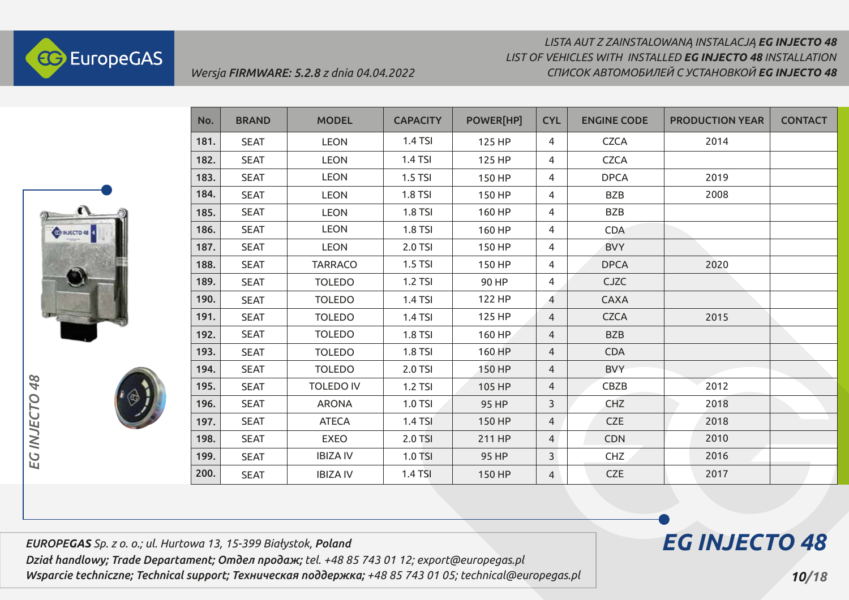



| No.  | <b>BRAND</b> | <b>MODEL</b>     | <b>CAPACITY</b> | POWER[HP] | <b>CYL</b>     | <b>ENGINE CODE</b> | <b>PRODUCTION YEAR</b> | <b>CONTACT</b> |
|------|--------------|------------------|-----------------|-----------|----------------|--------------------|------------------------|----------------|
| 181. | <b>SEAT</b>  | <b>LEON</b>      | 1.4 TSI         | 125 HP    | 4              | <b>CZCA</b>        | 2014                   |                |
| 182. | <b>SEAT</b>  | <b>LEON</b>      | 1.4 TSI         | 125 HP    | 4              | <b>CZCA</b>        |                        |                |
| 183. | <b>SEAT</b>  | <b>LEON</b>      | 1.5 TSI         | 150 HP    | 4              | <b>DPCA</b>        | 2019                   |                |
| 184. | <b>SEAT</b>  | <b>LEON</b>      | 1.8 TSI         | 150 HP    | 4              | <b>BZB</b>         | 2008                   |                |
| 185. | <b>SEAT</b>  | <b>LEON</b>      | 1.8 TSI         | 160 HP    | 4              | <b>BZB</b>         |                        |                |
| 186. | <b>SEAT</b>  | <b>LEON</b>      | 1.8 TSI         | 160 HP    | 4              | <b>CDA</b>         |                        |                |
| 187. | <b>SEAT</b>  | <b>LEON</b>      | 2.0 TSI         | 150 HP    | 4              | <b>BVY</b>         |                        |                |
| 188. | <b>SEAT</b>  | <b>TARRACO</b>   | 1.5 TSI         | 150 HP    | 4              | <b>DPCA</b>        | 2020                   |                |
| 189. | <b>SEAT</b>  | <b>TOLEDO</b>    | <b>1.2 TSI</b>  | 90 HP     | 4              | <b>CJZC</b>        |                        |                |
| 190. | <b>SEAT</b>  | <b>TOLEDO</b>    | 1.4 TSI         | 122 HP    | 4              | <b>CAXA</b>        |                        |                |
| 191. | <b>SEAT</b>  | <b>TOLEDO</b>    | 1.4 TSI         | 125 HP    | $\overline{4}$ | <b>CZCA</b>        | 2015                   |                |
| 192. | <b>SEAT</b>  | <b>TOLEDO</b>    | <b>1.8 TSI</b>  | 160 HP    | 4              | <b>BZB</b>         |                        |                |
| 193. | <b>SEAT</b>  | <b>TOLEDO</b>    | <b>1.8 TSI</b>  | 160 HP    | $\overline{4}$ | <b>CDA</b>         |                        |                |
| 194. | <b>SEAT</b>  | <b>TOLEDO</b>    | 2.0 TSI         | 150 HP    | $\overline{4}$ | <b>BVY</b>         |                        |                |
| 195. | <b>SEAT</b>  | <b>TOLEDO IV</b> | 1.2 TSI         | 105 HP    | $\overline{4}$ | CBZB               | 2012                   |                |
| 196. | <b>SEAT</b>  | <b>ARONA</b>     | 1.0 TSI         | 95 HP     | 3              | <b>CHZ</b>         | 2018                   |                |
| 197. | <b>SEAT</b>  | <b>ATECA</b>     | 1.4 TSI         | 150 HP    | $\overline{4}$ | <b>CZE</b>         | 2018                   |                |
| 198. | <b>SEAT</b>  | <b>EXEO</b>      | 2.0 TSI         | 211 HP    | $\overline{4}$ | <b>CDN</b>         | 2010                   |                |
| 199. | <b>SEAT</b>  | <b>IBIZA IV</b>  | 1.0 TSI         | 95 HP     | $\overline{3}$ | CHZ                | 2016                   |                |
| 200. | <b>SEAT</b>  | <b>IBIZA IV</b>  | 1.4 TSI         | 150 HP    | $\overline{4}$ | <b>CZE</b>         | 2017                   |                |

*EUROPEGAS Sp. z o. o.; ul. Hurtowa 13, 15-399 Białystok, Poland Dział handlowy; Trade Departament; Отдел продаж; tel. +48 85 743 01 12; export@europegas.pl Wsparcie techniczne; Technical support; Техническая поддержка; +48 85 743 01 05; technical@europegas.pl* 

*Wersja FIRMWARE: 5.2.8 z dnia 04.04.2022*

# *EG INJECTO 48*

 *10/18*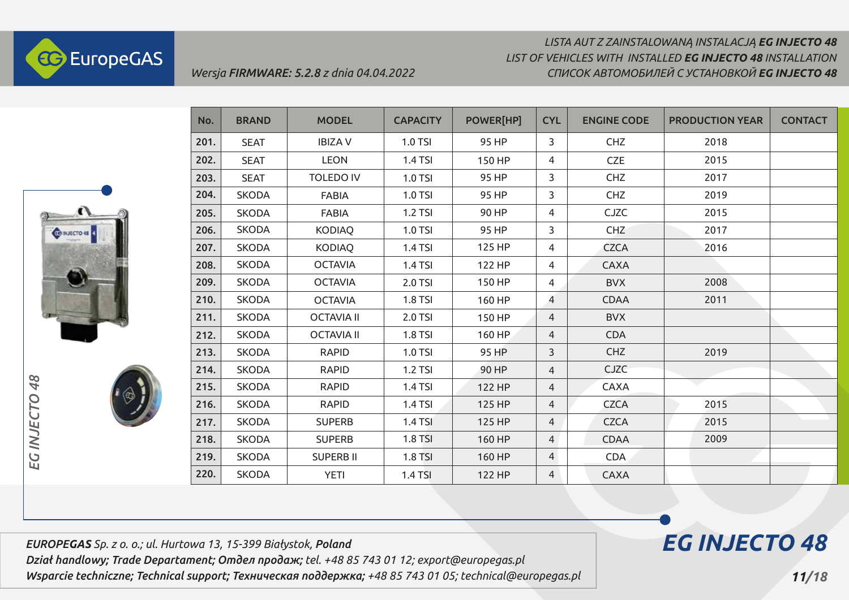

# *LISTA AUT Z ZAINSTALOWANĄ INSTALACJĄ EG INJECTO 48 СПИСОК АВТОМОБИЛЕЙ С УСТАНОВКОЙ EG INJECTO 48 LIST OF VEHICLES WITH INSTALLED EG INJECTO 48 INSTALLATION*



EG INJECTO

| No.  | <b>BRAND</b> | <b>MODEL</b>      | <b>CAPACITY</b> | <b>POWER[HP]</b> | <b>CYL</b>     | <b>ENGINE CODE</b> | <b>PRODUCTION YEAR</b> | <b>CONTACT</b> |
|------|--------------|-------------------|-----------------|------------------|----------------|--------------------|------------------------|----------------|
| 201. | <b>SEAT</b>  | <b>IBIZAV</b>     | 1.0 TSI         | 95 HP            | 3              | CHZ                | 2018                   |                |
| 202. | <b>SEAT</b>  | <b>LEON</b>       | 1.4 TSI         | 150 HP           | 4              | <b>CZE</b>         | 2015                   |                |
| 203. | <b>SEAT</b>  | <b>TOLEDO IV</b>  | 1.0 TSI         | 95 HP            | 3              | <b>CHZ</b>         | 2017                   |                |
| 204. | <b>SKODA</b> | <b>FABIA</b>      | 1.0 TSI         | 95 HP            | 3              | <b>CHZ</b>         | 2019                   |                |
| 205. | <b>SKODA</b> | <b>FABIA</b>      | 1.2 TSI         | 90 HP            | 4              | <b>CJZC</b>        | 2015                   |                |
| 206. | <b>SKODA</b> | <b>KODIAQ</b>     | 1.0 TSI         | 95 HP            | 3              | <b>CHZ</b>         | 2017                   |                |
| 207. | <b>SKODA</b> | <b>KODIAQ</b>     | 1.4 TSI         | 125 HP           | 4              | <b>CZCA</b>        | 2016                   |                |
| 208. | <b>SKODA</b> | <b>OCTAVIA</b>    | 1.4 TSI         | 122 HP           | 4              | <b>CAXA</b>        |                        |                |
| 209. | <b>SKODA</b> | <b>OCTAVIA</b>    | 2.0 TSI         | 150 HP           | 4              | <b>BVX</b>         | 2008                   |                |
| 210. | <b>SKODA</b> | <b>OCTAVIA</b>    | 1.8 TSI         | 160 HP           | 4              | <b>CDAA</b>        | 2011                   |                |
| 211. | <b>SKODA</b> | <b>OCTAVIA II</b> | 2.0 TSI         | 150 HP           | $\overline{4}$ | <b>BVX</b>         |                        |                |
| 212. | <b>SKODA</b> | <b>OCTAVIA II</b> | <b>1.8 TSI</b>  | 160 HP           | $\overline{4}$ | <b>CDA</b>         |                        |                |
| 213. | <b>SKODA</b> | <b>RAPID</b>      | 1.0 TSI         | 95 HP            | 3              | <b>CHZ</b>         | 2019                   |                |
| 214. | <b>SKODA</b> | <b>RAPID</b>      | 1.2 TSI         | 90 HP            | $\overline{4}$ | <b>CJZC</b>        |                        |                |
| 215. | <b>SKODA</b> | <b>RAPID</b>      | 1.4 TSI         | 122 HP           | $\overline{4}$ | CAXA               |                        |                |
| 216. | <b>SKODA</b> | <b>RAPID</b>      | 1.4 TSI         | 125 HP           | $\overline{4}$ | <b>CZCA</b>        | 2015                   |                |
| 217. | <b>SKODA</b> | <b>SUPERB</b>     | <b>1.4 TSI</b>  | 125 HP           | $\overline{4}$ | <b>CZCA</b>        | 2015                   |                |
| 218. | <b>SKODA</b> | <b>SUPERB</b>     | <b>1.8 TSI</b>  | 160 HP           | $\overline{4}$ | <b>CDAA</b>        | 2009                   |                |
| 219. | <b>SKODA</b> | <b>SUPERB II</b>  | 1.8 TSI         | 160 HP           | $\overline{4}$ | <b>CDA</b>         |                        |                |
| 220. | <b>SKODA</b> | <b>YETI</b>       | 1.4 TSI         | 122 HP           | $\overline{4}$ | <b>CAXA</b>        |                        |                |

*EUROPEGAS Sp. z o. o.; ul. Hurtowa 13, 15-399 Białystok, Poland Dział handlowy; Trade Departament; Отдел продаж; tel. +48 85 743 01 12; export@europegas.pl* 

*Wsparcie techniczne; Technical support; Техническая поддержка; +48 85 743 01 05; technical@europegas.pl*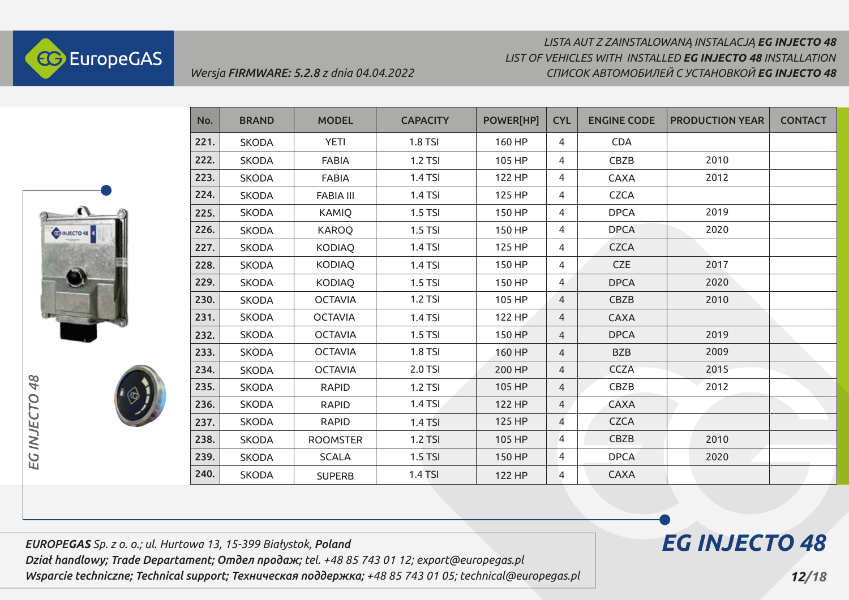

### *LISTA AUT Z ZAINSTALOWANĄ INSTALACJĄ EG INJECTO 48 СПИСОК АВТОМОБИЛЕЙ С УСТАНОВКОЙ EG INJECTO 48 LIST OF VEHICLES WITH INSTALLED EG INJECTO 48 INSTALLATION*



*EG INJECTO 48*

EG INJECTO

48



| No.  | <b>BRAND</b> | <b>MODEL</b>     | <b>CAPACITY</b> | POWER[HP] | <b>CYL</b>     | <b>ENGINE CODE</b> | <b>PRODUCTION YEAR</b> | <b>CONTACT</b> |
|------|--------------|------------------|-----------------|-----------|----------------|--------------------|------------------------|----------------|
| 221. | <b>SKODA</b> | <b>YETI</b>      | 1.8 TSI         | 160 HP    | $\overline{4}$ | <b>CDA</b>         |                        |                |
| 222. | <b>SKODA</b> | <b>FABIA</b>     | 1.2 TSI         | 105 HP    | 4              | CBZB               | 2010                   |                |
| 223. | <b>SKODA</b> | <b>FABIA</b>     | <b>1.4 TSI</b>  | 122 HP    | 4              | <b>CAXA</b>        | 2012                   |                |
| 224. | <b>SKODA</b> | <b>FABIA III</b> | <b>1.4 TSI</b>  | 125 HP    | $\overline{4}$ | <b>CZCA</b>        |                        |                |
| 225. | <b>SKODA</b> | <b>KAMIQ</b>     | $1.5$ TSI       | 150 HP    | $\overline{4}$ | <b>DPCA</b>        | 2019                   |                |
| 226. | <b>SKODA</b> | <b>KAROQ</b>     | $1.5$ TSI       | 150 HP    | 4              | <b>DPCA</b>        | 2020                   |                |
| 227. | <b>SKODA</b> | KODIAQ           | <b>1.4 TSI</b>  | 125 HP    | $\overline{4}$ | <b>CZCA</b>        |                        |                |
| 228. | <b>SKODA</b> | <b>KODIAQ</b>    | <b>1.4 TSI</b>  | 150 HP    | 4              | <b>CZE</b>         | 2017                   |                |
| 229. | <b>SKODA</b> | KODIAQ           | $1.5$ TSI       | 150 HP    | $\overline{4}$ | <b>DPCA</b>        | 2020                   |                |
| 230. | <b>SKODA</b> | <b>OCTAVIA</b>   | 1.2 TSI         | 105 HP    | $\overline{4}$ | CBZB               | 2010                   |                |
| 231. | <b>SKODA</b> | <b>OCTAVIA</b>   | <b>1.4 TSI</b>  | 122 HP    | $\overline{4}$ | <b>CAXA</b>        |                        |                |
| 232. | <b>SKODA</b> | <b>OCTAVIA</b>   | $1.5$ TSI       | 150 HP    | $\overline{4}$ | <b>DPCA</b>        | 2019                   |                |
| 233. | <b>SKODA</b> | <b>OCTAVIA</b>   | 1.8 TSI         | 160 HP    | 4              | <b>BZB</b>         | 2009                   |                |
| 234. | <b>SKODA</b> | <b>OCTAVIA</b>   | 2.0 TSI         | 200 HP    | 4              | <b>CCZA</b>        | 2015                   |                |
| 235. | <b>SKODA</b> | <b>RAPID</b>     | 1.2 TSI         | 105 HP    | $\overline{4}$ | CBZB               | 2012                   |                |
| 236. | <b>SKODA</b> | <b>RAPID</b>     | 1.4 TSI         | 122 HP    | $\overline{4}$ | <b>CAXA</b>        |                        |                |
| 237. | <b>SKODA</b> | <b>RAPID</b>     | $1.4$ TSI       | 125 HP    | $\overline{4}$ | <b>CZCA</b>        |                        |                |
| 238. | <b>SKODA</b> | <b>ROOMSTER</b>  | $1.2$ TSI       | 105 HP    | $\overline{4}$ | CBZB               | 2010                   |                |
| 239. | <b>SKODA</b> | <b>SCALA</b>     | $1.5$ TSI       | 150 HP    | $\overline{4}$ | <b>DPCA</b>        | 2020                   |                |
| 240. | <b>SKODA</b> | <b>SUPERB</b>    | 1.4 TSI         | 122 HP    | 4              | <b>CAXA</b>        |                        |                |

*EUROPEGAS Sp. z o. o.; ul. Hurtowa 13, 15-399 Białystok, Poland Dział handlowy; Trade Departament; Отдел продаж; tel. +48 85 743 01 12; export@europegas.pl Wsparcie techniczne; Technical support; Техническая поддержка; +48 85 743 01 05; technical@europegas.pl*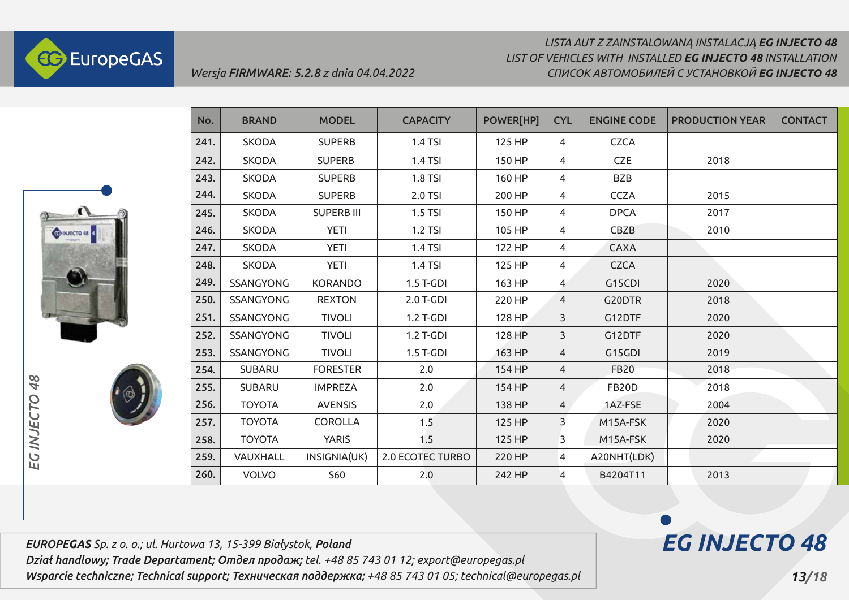

### *LISTA AUT Z ZAINSTALOWANĄ INSTALACJĄ EG INJECTO 48 СПИСОК АВТОМОБИЛЕЙ С УСТАНОВКОЙ EG INJECTO 48 LIST OF VEHICLES WITH INSTALLED EG INJECTO 48 INSTALLATION*



*EG INJECTO 48*

EG INJECTO

48



| No.  | <b>BRAND</b>  | <b>MODEL</b>      | <b>CAPACITY</b>  | <b>POWER[HP]</b> | <b>CYL</b>     | <b>ENGINE CODE</b> | <b>PRODUCTION YEAR</b> | <b>CONTACT</b> |
|------|---------------|-------------------|------------------|------------------|----------------|--------------------|------------------------|----------------|
| 241. | <b>SKODA</b>  | <b>SUPERB</b>     | 1.4 TSI          | 125 HP           | 4              | <b>CZCA</b>        |                        |                |
| 242. | <b>SKODA</b>  | <b>SUPERB</b>     | 1.4 TSI          | 150 HP           | 4              | <b>CZE</b>         | 2018                   |                |
| 243. | <b>SKODA</b>  | <b>SUPERB</b>     | <b>1.8 TSI</b>   | 160 HP           | 4              | <b>BZB</b>         |                        |                |
| 244. | <b>SKODA</b>  | <b>SUPERB</b>     | 2.0 TSI          | 200 HP           | 4              | <b>CCZA</b>        | 2015                   |                |
| 245. | <b>SKODA</b>  | <b>SUPERB III</b> | $1.5$ TSI        | 150 HP           | 4              | <b>DPCA</b>        | 2017                   |                |
| 246. | <b>SKODA</b>  | <b>YETI</b>       | 1.2 TSI          | 105 HP           | 4              | CBZB               | 2010                   |                |
| 247. | <b>SKODA</b>  | <b>YETI</b>       | 1.4 TSI          | 122 HP           | 4              | <b>CAXA</b>        |                        |                |
| 248. | <b>SKODA</b>  | <b>YETI</b>       | 1.4 TSI          | 125 HP           | 4              | <b>CZCA</b>        |                        |                |
| 249. | SSANGYONG     | <b>KORANDO</b>    | $1.5$ T-GDI      | 163 HP           | $\overline{4}$ | G15CDI             | 2020                   |                |
| 250. | SSANGYONG     | <b>REXTON</b>     | 2.0 T-GDI        | 220 HP           | 4              | G20DTR             | 2018                   |                |
| 251. | SSANGYONG     | <b>TIVOLI</b>     | 1.2 T-GDI        | 128 HP           | 3              | G12DTF             | 2020                   |                |
| 252. | SSANGYONG     | <b>TIVOLI</b>     | 1.2 T-GDI        | 128 HP           | 3              | G12DTF             | 2020                   |                |
| 253. | SSANGYONG     | <b>TIVOLI</b>     | $1.5$ T-GDI      | 163 HP           | 4              | G15GDI             | 2019                   |                |
| 254. | <b>SUBARU</b> | <b>FORESTER</b>   | 2.0              | 154 HP           | $\overline{4}$ | <b>FB20</b>        | 2018                   |                |
| 255. | <b>SUBARU</b> | <b>IMPREZA</b>    | 2.0              | 154 HP           | $\overline{4}$ | <b>FB20D</b>       | 2018                   |                |
| 256. | <b>TOYOTA</b> | <b>AVENSIS</b>    | 2.0              | 138 HP           | $\overline{4}$ | 1AZ-FSE            | 2004                   |                |
| 257. | <b>TOYOTA</b> | <b>COROLLA</b>    | 1.5              | 125 HP           | 3              | M15A-FSK           | 2020                   |                |
| 258. | <b>TOYOTA</b> | <b>YARIS</b>      | 1.5              | 125 HP           | $\overline{3}$ | M15A-FSK           | 2020                   |                |
| 259. | VAUXHALL      | INSIGNIA(UK)      | 2.0 ECOTEC TURBO | 220 HP           | 4              | A20NHT(LDK)        |                        |                |
| 260. | <b>VOLVO</b>  | S60               | 2.0              | 242 HP           | 4              | B4204T11           | 2013                   |                |

*EUROPEGAS Sp. z o. o.; ul. Hurtowa 13, 15-399 Białystok, Poland Dział handlowy; Trade Departament; Отдел продаж; tel. +48 85 743 01 12; export@europegas.pl Wsparcie techniczne; Technical support; Техническая поддержка; +48 85 743 01 05; technical@europegas.pl*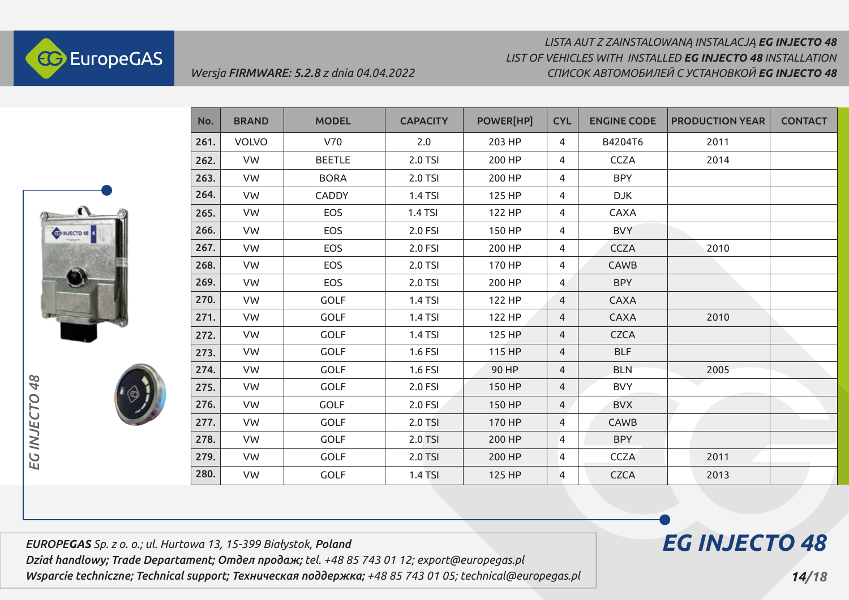



| No.  | <b>BRAND</b> | <b>MODEL</b>  | <b>CAPACITY</b> | <b>POWER[HP]</b> | <b>CYL</b>     | <b>ENGINE CODE</b> | <b>PRODUCTION YEAR</b> | <b>CONTACT</b> |
|------|--------------|---------------|-----------------|------------------|----------------|--------------------|------------------------|----------------|
| 261. | <b>VOLVO</b> | V70           | 2.0             | 203 HP           | $\overline{4}$ | B4204T6            | 2011                   |                |
| 262. | VW           | <b>BEETLE</b> | 2.0 TSI         | 200 HP           | $\overline{4}$ | <b>CCZA</b>        | 2014                   |                |
| 263. | VW           | <b>BORA</b>   | 2.0 TSI         | 200 HP           | 4              | <b>BPY</b>         |                        |                |
| 264. | VW           | CADDY         | 1.4 TSI         | 125 HP           | 4              | <b>DJK</b>         |                        |                |
| 265. | VW           | EOS           | 1.4 TSI         | 122 HP           | $\overline{4}$ | CAXA               |                        |                |
| 266. | VW           | <b>EOS</b>    | 2.0 FSI         | 150 HP           | $\overline{4}$ | <b>BVY</b>         |                        |                |
| 267. | VW           | <b>EOS</b>    | 2.0 FSI         | 200 HP           | 4              | <b>CCZA</b>        | 2010                   |                |
| 268. | VW           | EOS           | 2.0 TSI         | 170 HP           | 4              | <b>CAWB</b>        |                        |                |
| 269. | <b>VW</b>    | EOS           | 2.0 TSI         | 200 HP           | $\overline{4}$ | <b>BPY</b>         |                        |                |
| 270. | VW           | <b>GOLF</b>   | 1.4 TSI         | 122 HP           | $\overline{4}$ | <b>CAXA</b>        |                        |                |
| 271. | VW           | <b>GOLF</b>   | 1.4 TSI         | 122 HP           | $\overline{4}$ | CAXA               | 2010                   |                |
| 272. | VW           | <b>GOLF</b>   | 1.4 TSI         | 125 HP           | 4              | <b>CZCA</b>        |                        |                |
| 273. | VW           | <b>GOLF</b>   | 1.6 FSI         | 115 HP           | 4              | <b>BLF</b>         |                        |                |
| 274. | VW           | <b>GOLF</b>   | 1.6 FSI         | 90 HP            | $\overline{4}$ | <b>BLN</b>         | 2005                   |                |
| 275. | VW           | <b>GOLF</b>   | 2.0 FSI         | 150 HP           | 4              | <b>BVY</b>         |                        |                |
| 276. | VW           | <b>GOLF</b>   | 2.0 FSI         | 150 HP           | $\overline{4}$ | <b>BVX</b>         |                        |                |
| 277. | VW           | <b>GOLF</b>   | 2.0 TSI         | 170 HP           | 4              | CAWB               |                        |                |
| 278. | VW           | <b>GOLF</b>   | 2.0 TSI         | 200 HP           | 4              | <b>BPY</b>         |                        |                |
| 279. | VW           | <b>GOLF</b>   | 2.0 TSI         | 200 HP           | 4              | <b>CCZA</b>        | 2011                   |                |
| 280. | VW           | <b>GOLF</b>   | <b>1.4 TSI</b>  | 125 HP           | 4              | <b>CZCA</b>        | 2013                   |                |

*EUROPEGAS Sp. z o. o.; ul. Hurtowa 13, 15-399 Białystok, Poland Dział handlowy; Trade Departament; Отдел продаж; tel. +48 85 743 01 12; export@europegas.pl Wsparcie techniczne; Technical support; Техническая поддержка; +48 85 743 01 05; technical@europegas.pl* 

*Wersja FIRMWARE: 5.2.8 z dnia 04.04.2022*

# *14/18*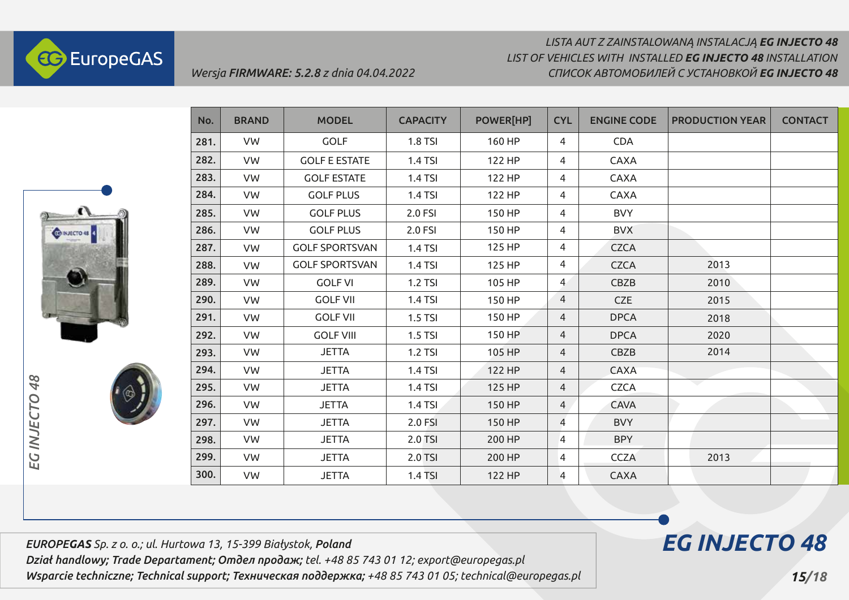

# *LISTA AUT Z ZAINSTALOWANĄ INSTALACJĄ EG INJECTO 48 СПИСОК АВТОМОБИЛЕЙ С УСТАНОВКОЙ EG INJECTO 48 LIST OF VEHICLES WITH INSTALLED EG INJECTO 48 INSTALLATION*



| No.  | <b>BRAND</b> | <b>MODEL</b>          | <b>CAPACITY</b> | <b>POWER[HP]</b> | <b>CYL</b>     | <b>ENGINE CODE</b> | <b>PRODUCTION YEAR</b>   | <b>CONTACT</b> |
|------|--------------|-----------------------|-----------------|------------------|----------------|--------------------|--------------------------|----------------|
| 281. | VW           | <b>GOLF</b>           | 1.8 TSI         | 160 HP           | 4              | <b>CDA</b>         |                          |                |
| 282. | VW           | <b>GOLF E ESTATE</b>  | 1.4 TSI         | 122 HP           | 4              | CAXA               |                          |                |
| 283. | VW           | <b>GOLF ESTATE</b>    | 1.4 TSI         | 122 HP           | 4              | <b>CAXA</b>        |                          |                |
| 284. | VW           | <b>GOLF PLUS</b>      | 1.4 TSI         | 122 HP           | 4              | <b>CAXA</b>        |                          |                |
| 285. | VW           | <b>GOLF PLUS</b>      | 2.0 FSI         | 150 HP           | 4              | <b>BVY</b>         |                          |                |
| 286. | VW           | <b>GOLF PLUS</b>      | 2.0 FSI         | 150 HP           | 4              | <b>BVX</b>         |                          |                |
| 287. | VW           | <b>GOLF SPORTSVAN</b> | 1.4 TSI         | 125 HP           | 4              | <b>CZCA</b>        |                          |                |
| 288. | <b>VW</b>    | <b>GOLF SPORTSVAN</b> | 1.4 TSI         | 125 HP           | 4              | <b>CZCA</b>        | 2013                     |                |
| 289. | VW           | <b>GOLF VI</b>        | 1.2 TSI         | 105 HP           | $\overline{4}$ | CBZB               | 2010                     |                |
| 290. | VW           | <b>GOLF VII</b>       | 1.4 TSI         | 150 HP           | 4              | <b>CZE</b>         | 2015                     |                |
| 291. | VW           | <b>GOLF VII</b>       | 1.5 TSI         | 150 HP           | 4              | <b>DPCA</b>        | 2018                     |                |
| 292. | <b>VW</b>    | <b>GOLF VIII</b>      | 1.5 TSI         | 150 HP           | 4              | <b>DPCA</b>        | 2020                     |                |
| 293. | VW           | <b>JETTA</b>          | 1.2 TSI         | 105 HP           | $\overline{4}$ | CBZB               | 2014                     |                |
| 294. | VW           | <b>JETTA</b>          | 1.4 TSI         | 122 HP           | 4              | CAXA               |                          |                |
| 295. | VW           | <b>JETTA</b>          | 1.4 TSI         | 125 HP           | $\overline{4}$ | <b>CZCA</b>        | $\overline{\phantom{0}}$ |                |
| 296. | VW           | <b>JETTA</b>          | 1.4 TSI         | 150 HP           | $\overline{4}$ | <b>CAVA</b>        |                          |                |
| 297. | VW           | <b>JETTA</b>          | 2.0 FSI         | 150 HP           | $\overline{4}$ | <b>BVY</b>         |                          |                |
| 298. | VW           | <b>JETTA</b>          | 2.0 TSI         | 200 HP           | 4              | <b>BPY</b>         |                          |                |
| 299. | VW           | <b>JETTA</b>          | 2.0 TSI         | 200 HP           | 4              | <b>CCZA</b>        | 2013                     |                |
| 300. | VW           | <b>JETTA</b>          | 1.4 TSI         | 122 HP           | 4              | <b>CAXA</b>        |                          |                |

*EUROPEGAS Sp. z o. o.; ul. Hurtowa 13, 15-399 Białystok, Poland Dział handlowy; Trade Departament; Отдел продаж; tel. +48 85 743 01 12; export@europegas.pl Wsparcie techniczne; Technical support; Техническая поддержка; +48 85 743 01 05; technical@europegas.pl* 

# *EG INJECTO 48*

 *15/18*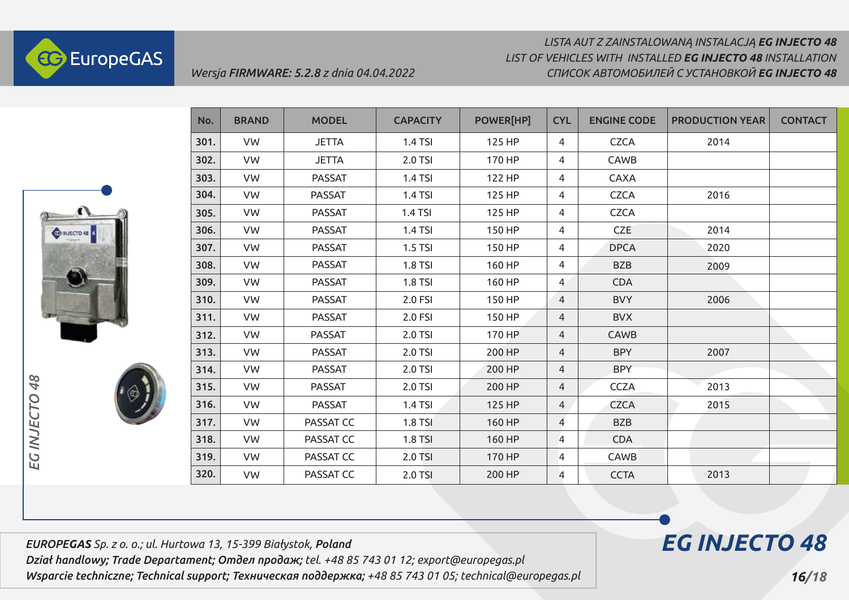



| No.  | <b>BRAND</b> | <b>MODEL</b>  | <b>CAPACITY</b> | <b>POWER[HP]</b> | <b>CYL</b>     | <b>ENGINE CODE</b> | <b>PRODUCTION YEAR</b> | <b>CONTACT</b> |
|------|--------------|---------------|-----------------|------------------|----------------|--------------------|------------------------|----------------|
| 301. | VW           | <b>JETTA</b>  | 1.4 TSI         | 125 HP           | 4              | <b>CZCA</b>        | 2014                   |                |
| 302. | VW           | <b>JETTA</b>  | 2.0 TSI         | 170 HP           | 4              | CAWB               |                        |                |
| 303. | VW           | <b>PASSAT</b> | 1.4 TSI         | 122 HP           | 4              | <b>CAXA</b>        |                        |                |
| 304. | VW           | <b>PASSAT</b> | 1.4 TSI         | 125 HP           | 4              | <b>CZCA</b>        | 2016                   |                |
| 305. | VW           | <b>PASSAT</b> | 1.4 TSI         | 125 HP           | $\overline{4}$ | <b>CZCA</b>        |                        |                |
| 306. | VW           | <b>PASSAT</b> | 1.4 TSI         | 150 HP           | 4              | <b>CZE</b>         | 2014                   |                |
| 307. | VW           | <b>PASSAT</b> | $1.5$ TSI       | 150 HP           | 4              | <b>DPCA</b>        | 2020                   |                |
| 308. | VW           | <b>PASSAT</b> | <b>1.8 TSI</b>  | 160 HP           | 4              | <b>BZB</b>         | 2009                   |                |
| 309. | <b>VW</b>    | <b>PASSAT</b> | <b>1.8 TSI</b>  | 160 HP           | $\overline{4}$ | <b>CDA</b>         |                        |                |
| 310. | <b>VW</b>    | <b>PASSAT</b> | 2.0 FSI         | 150 HP           | $\overline{4}$ | <b>BVY</b>         | 2006                   |                |
| 311. | VW           | <b>PASSAT</b> | 2.0 FSI         | 150 HP           | 4              | <b>BVX</b>         |                        |                |
| 312. | VW           | <b>PASSAT</b> | 2.0 TSI         | 170 HP           | 4              | CAWB               |                        |                |
| 313. | VW           | <b>PASSAT</b> | 2.0 TSI         | 200 HP           | 4              | <b>BPY</b>         | 2007                   |                |
| 314. | VW           | <b>PASSAT</b> | 2.0 TSI         | 200 HP           | 4              | <b>BPY</b>         |                        |                |
| 315. | VW           | <b>PASSAT</b> | 2.0 TSI         | 200 HP           | 4              | <b>CCZA</b>        | 2013                   |                |
| 316. | VW           | <b>PASSAT</b> | 1.4 TSI         | 125 HP           | $\overline{4}$ | <b>CZCA</b>        | 2015                   |                |
| 317. | VW           | PASSAT CC     | 1.8 TSI         | 160 HP           | $\overline{4}$ | <b>BZB</b>         |                        |                |
| 318. | <b>VW</b>    | PASSAT CC     | <b>1.8 TSI</b>  | 160 HP           | 4              | <b>CDA</b>         |                        |                |
| 319. | VW           | PASSAT CC     | 2.0 TSI         | 170 HP           | 4              | CAWB               |                        |                |
| 320. | VW           | PASSAT CC     | 2.0 TSI         | 200 HP           | 4              | <b>CCTA</b>        | 2013                   |                |

*EUROPEGAS Sp. z o. o.; ul. Hurtowa 13, 15-399 Białystok, Poland Dział handlowy; Trade Departament; Отдел продаж; tel. +48 85 743 01 12; export@europegas.pl Wsparcie techniczne; Technical support; Техническая поддержка; +48 85 743 01 05; technical@europegas.pl* 

*Wersja FIRMWARE: 5.2.8 z dnia 04.04.2022*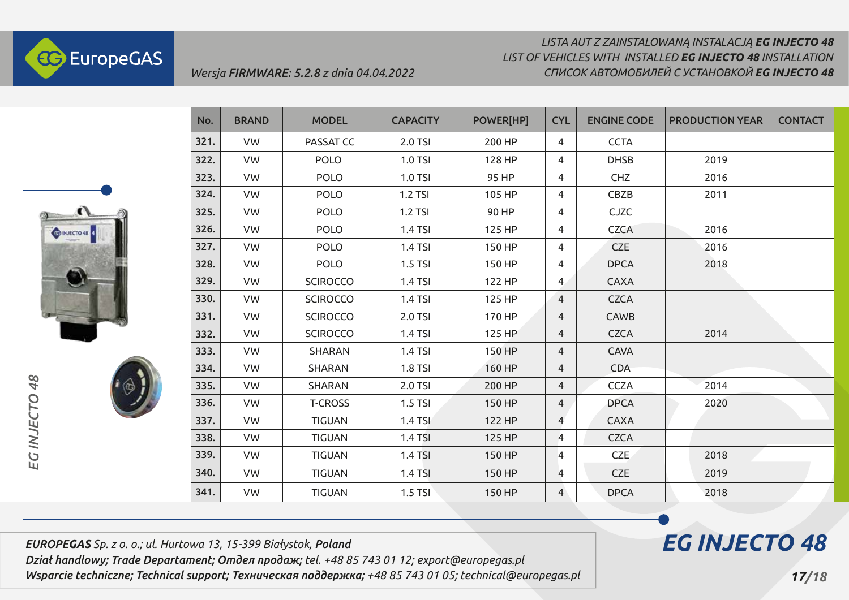

### *LISTA AUT Z ZAINSTALOWANĄ INSTALACJĄ EG INJECTO 48 СПИСОК АВТОМОБИЛЕЙ С УСТАНОВКОЙ EG INJECTO 48 LIST OF VEHICLES WITH INSTALLED EG INJECTO 48 INSTALLATION*



| No.  | <b>BRAND</b> | <b>MODEL</b>    | <b>CAPACITY</b> | <b>POWER[HP]</b> | <b>CYL</b>     | <b>ENGINE CODE</b> | <b>PRODUCTION YEAR</b> | <b>CONTACT</b> |
|------|--------------|-----------------|-----------------|------------------|----------------|--------------------|------------------------|----------------|
| 321. | <b>VW</b>    | PASSAT CC       | 2.0 TSI         | 200 HP           | 4              | <b>CCTA</b>        |                        |                |
| 322. | VW           | <b>POLO</b>     | 1.0 TSI         | 128 HP           | 4              | <b>DHSB</b>        | 2019                   |                |
| 323. | VW           | <b>POLO</b>     | 1.0 TSI         | 95 HP            | 4              | CHZ                | 2016                   |                |
| 324. | <b>VW</b>    | <b>POLO</b>     | 1.2 TSI         | 105 HP           | 4              | CBZB               | 2011                   |                |
| 325. | VW           | <b>POLO</b>     | 1.2 TSI         | 90 HP            | 4              | <b>CJZC</b>        |                        |                |
| 326. | VW           | <b>POLO</b>     | 1.4 TSI         | 125 HP           | 4              | <b>CZCA</b>        | 2016                   |                |
| 327. | VW           | <b>POLO</b>     | 1.4 TSI         | 150 HP           | 4              | <b>CZE</b>         | 2016                   |                |
| 328. | VW           | <b>POLO</b>     | 1.5 TSI         | 150 HP           | 4              | <b>DPCA</b>        | 2018                   |                |
| 329. | VW           | <b>SCIROCCO</b> | 1.4 TSI         | 122 HP           | 4              | <b>CAXA</b>        |                        |                |
| 330. | VW           | <b>SCIROCCO</b> | 1.4 TSI         | 125 HP           | $\overline{4}$ | <b>CZCA</b>        |                        |                |
| 331. | <b>VW</b>    | <b>SCIROCCO</b> | 2.0 TSI         | 170 HP           | $\overline{4}$ | CAWB               |                        |                |
| 332. | <b>VW</b>    | <b>SCIROCCO</b> | 1.4 TSI         | 125 HP           | $\overline{4}$ | <b>CZCA</b>        | 2014                   |                |
| 333. | VW           | <b>SHARAN</b>   | 1.4 TSI         | 150 HP           | $\overline{4}$ | <b>CAVA</b>        |                        |                |
| 334. | VW           | <b>SHARAN</b>   | 1.8 TSI         | 160 HP           | $\overline{4}$ | <b>CDA</b>         |                        |                |
| 335. | <b>VW</b>    | <b>SHARAN</b>   | 2.0 TSI         | 200 HP           | $\overline{4}$ | <b>CCZA</b>        | 2014                   |                |
| 336. | VW           | <b>T-CROSS</b>  | 1.5 TSI         | 150 HP           | $\overline{4}$ | <b>DPCA</b>        | 2020                   |                |
| 337. | VW           | <b>TIGUAN</b>   | 1.4 TSI         | 122 HP           | $\overline{4}$ | <b>CAXA</b>        |                        |                |
| 338. | <b>VW</b>    | <b>TIGUAN</b>   | 1.4 TSI         | 125 HP           | 4              | <b>CZCA</b>        |                        |                |
| 339. | VW           | <b>TIGUAN</b>   | 1.4 TSI         | 150 HP           | 4              | <b>CZE</b>         | 2018                   |                |
| 340. | VW           | <b>TIGUAN</b>   | 1.4 TSI         | 150 HP           | 4              | CZE                | 2019                   |                |
| 341. | VW           | <b>TIGUAN</b>   | 1.5 TSI         | 150 HP           | $\overline{4}$ | <b>DPCA</b>        | 2018                   |                |

*EUROPEGAS Sp. z o. o.; ul. Hurtowa 13, 15-399 Białystok, Poland Dział handlowy; Trade Departament; Отдел продаж; tel. +48 85 743 01 12; export@europegas.pl Wsparcie techniczne; Technical support; Техническая поддержка; +48 85 743 01 05; technical@europegas.pl*